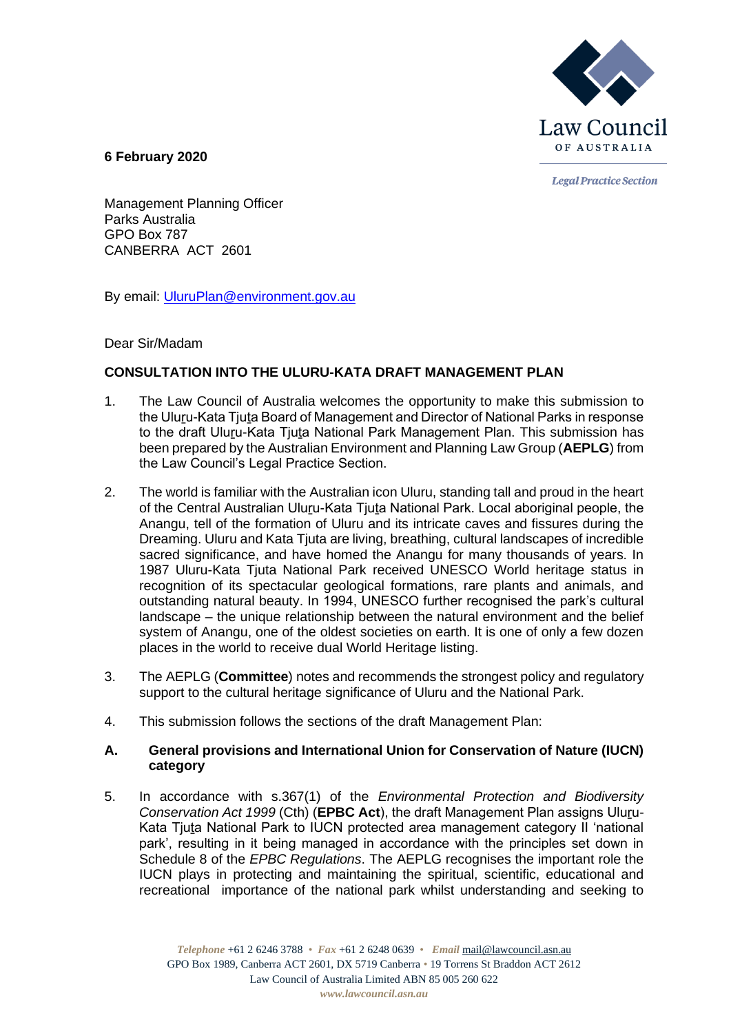

**Legal Practice Section** 

**6 February 2020**

Management Planning Officer Parks Australia GPO Box 787 CANBERRA ACT 2601

By email: [UluruPlan@environment.gov.au](mailto:UluruPlan@environment.gov.au)

Dear Sir/Madam

# **CONSULTATION INTO THE ULURU-KATA DRAFT MANAGEMENT PLAN**

- 1. The Law Council of Australia welcomes the opportunity to make this submission to the Uluru-Kata Tiuta Board of Management and Director of National Parks in response to the draft Uluru-Kata Tjuta National Park Management Plan. This submission has been prepared by the Australian Environment and Planning Law Group (**AEPLG**) from the Law Council's Legal Practice Section.
- 2. The world is familiar with the Australian icon Uluru, standing tall and proud in the heart of the Central Australian Uluru-Kata Tiuta National Park. Local aboriginal people, the Anangu, tell of the formation of Uluru and its intricate caves and fissures during the Dreaming. Uluru and Kata Tjuta are living, breathing, cultural landscapes of incredible sacred significance, and have homed the Anangu for many thousands of years. In 1987 Uluru-Kata Tjuta National Park received UNESCO World heritage status in recognition of its spectacular geological formations, rare plants and animals, and outstanding natural beauty. In 1994, UNESCO further recognised the park's cultural landscape – the unique relationship between the natural environment and the belief system of Anangu, one of the oldest societies on earth. It is one of only a few dozen places in the world to receive dual World Heritage listing.
- 3. The AEPLG (**Committee**) notes and recommends the strongest policy and regulatory support to the cultural heritage significance of Uluru and the National Park.
- 4. This submission follows the sections of the draft Management Plan:

# **A. General provisions and International Union for Conservation of Nature (IUCN) category**

5. In accordance with s.367(1) of the *Environmental Protection and Biodiversity Conservation Act 1999* (Cth) (**EPBC Act**), the draft Management Plan assigns Uluru-Kata Tjuta National Park to IUCN protected area management category II 'national park', resulting in it being managed in accordance with the principles set down in Schedule 8 of the *EPBC Regulations*. The AEPLG recognises the important role the IUCN plays in protecting and maintaining the spiritual, scientific, educational and recreational importance of the national park whilst understanding and seeking to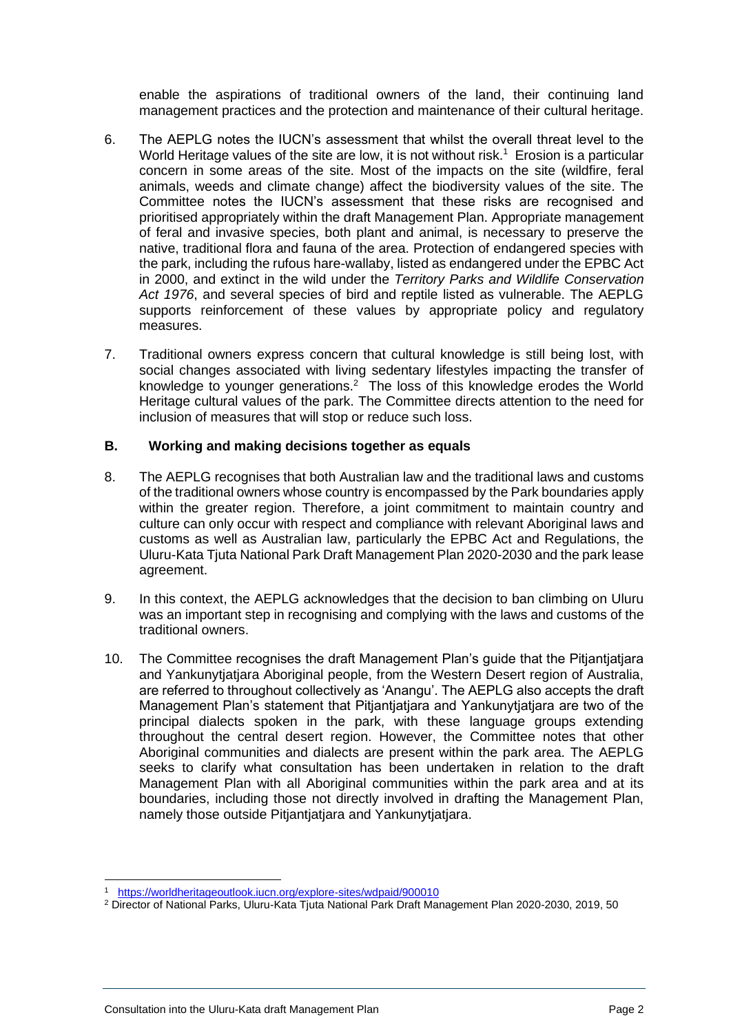enable the aspirations of traditional owners of the land, their continuing land management practices and the protection and maintenance of their cultural heritage.

- 6. The AEPLG notes the IUCN's assessment that whilst the overall threat level to the World Heritage values of the site are low, it is not without risk.<sup>1</sup> Erosion is a particular concern in some areas of the site. Most of the impacts on the site (wildfire, feral animals, weeds and climate change) affect the biodiversity values of the site. The Committee notes the IUCN's assessment that these risks are recognised and prioritised appropriately within the draft Management Plan. Appropriate management of feral and invasive species, both plant and animal, is necessary to preserve the native, traditional flora and fauna of the area. Protection of endangered species with the park, including the rufous hare-wallaby, listed as endangered under the EPBC Act in 2000, and extinct in the wild under the *Territory Parks and Wildlife Conservation Act 1976*, and several species of bird and reptile listed as vulnerable. The AEPLG supports reinforcement of these values by appropriate policy and regulatory measures.
- 7. Traditional owners express concern that cultural knowledge is still being lost, with social changes associated with living sedentary lifestyles impacting the transfer of knowledge to younger generations.<sup>2</sup> The loss of this knowledge erodes the World Heritage cultural values of the park. The Committee directs attention to the need for inclusion of measures that will stop or reduce such loss.

## **B. Working and making decisions together as equals**

- 8. The AEPLG recognises that both Australian law and the traditional laws and customs of the traditional owners whose country is encompassed by the Park boundaries apply within the greater region. Therefore, a joint commitment to maintain country and culture can only occur with respect and compliance with relevant Aboriginal laws and customs as well as Australian law, particularly the EPBC Act and Regulations, the Uluru-Kata Tjuta National Park Draft Management Plan 2020-2030 and the park lease agreement.
- 9. In this context, the AEPLG acknowledges that the decision to ban climbing on Uluru was an important step in recognising and complying with the laws and customs of the traditional owners.
- 10. The Committee recognises the draft Management Plan's guide that the Pitjantjatjara and Yankunytjatjara Aboriginal people, from the Western Desert region of Australia, are referred to throughout collectively as 'Anangu'. The AEPLG also accepts the draft Management Plan's statement that Pitjantjatjara and Yankunytjatjara are two of the principal dialects spoken in the park, with these language groups extending throughout the central desert region. However, the Committee notes that other Aboriginal communities and dialects are present within the park area. The AEPLG seeks to clarify what consultation has been undertaken in relation to the draft Management Plan with all Aboriginal communities within the park area and at its boundaries, including those not directly involved in drafting the Management Plan, namely those outside Pitjantjatjara and Yankunytjatjara.

<sup>1</sup> <https://worldheritageoutlook.iucn.org/explore-sites/wdpaid/900010>

<sup>2</sup> Director of National Parks, Uluru-Kata Tjuta National Park Draft Management Plan 2020-2030, 2019, 50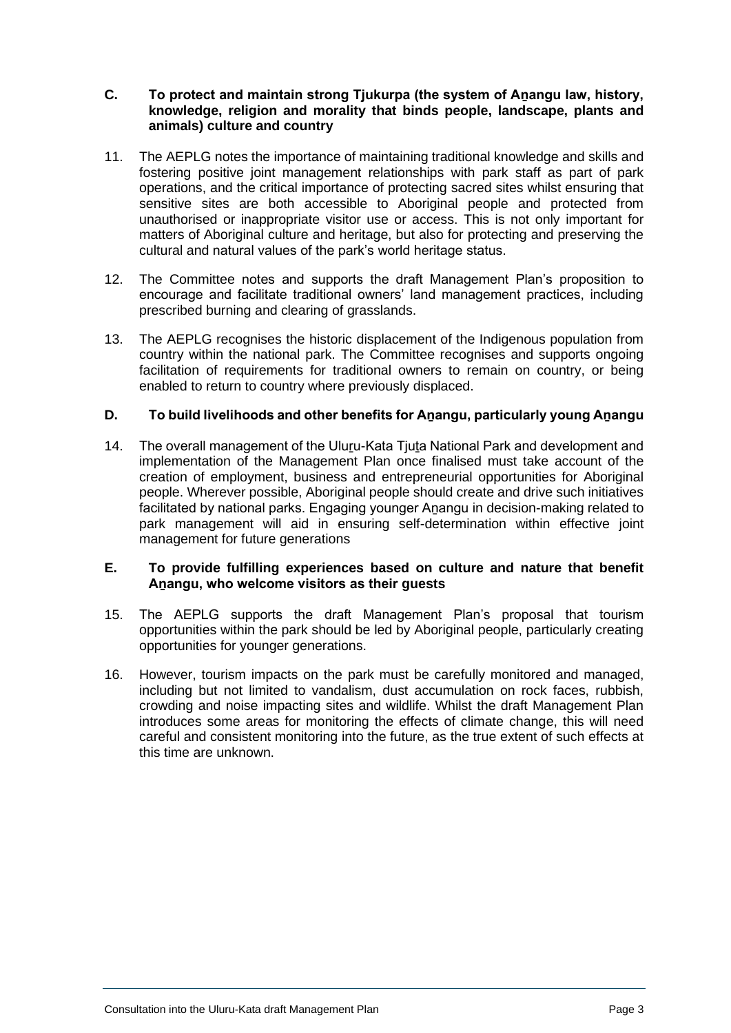#### **C. To protect and maintain strong Tjukurpa (the system of Aṉangu law, history, knowledge, religion and morality that binds people, landscape, plants and animals) culture and country**

- 11. The AEPLG notes the importance of maintaining traditional knowledge and skills and fostering positive joint management relationships with park staff as part of park operations, and the critical importance of protecting sacred sites whilst ensuring that sensitive sites are both accessible to Aboriginal people and protected from unauthorised or inappropriate visitor use or access. This is not only important for matters of Aboriginal culture and heritage, but also for protecting and preserving the cultural and natural values of the park's world heritage status.
- 12. The Committee notes and supports the draft Management Plan's proposition to encourage and facilitate traditional owners' land management practices, including prescribed burning and clearing of grasslands.
- 13. The AEPLG recognises the historic displacement of the Indigenous population from country within the national park. The Committee recognises and supports ongoing facilitation of requirements for traditional owners to remain on country, or being enabled to return to country where previously displaced.

# **D. To build livelihoods and other benefits for Aṉangu, particularly young Aṉangu**

14. The overall management of the Uluru-Kata Tjuta National Park and development and implementation of the Management Plan once finalised must take account of the creation of employment, business and entrepreneurial opportunities for Aboriginal people. Wherever possible, Aboriginal people should create and drive such initiatives facilitated by national parks. Engaging younger Anangu in decision-making related to park management will aid in ensuring self-determination within effective joint management for future generations

## **E. To provide fulfilling experiences based on culture and nature that benefit Aṉangu, who welcome visitors as their guests**

- 15. The AEPLG supports the draft Management Plan's proposal that tourism opportunities within the park should be led by Aboriginal people, particularly creating opportunities for younger generations.
- 16. However, tourism impacts on the park must be carefully monitored and managed, including but not limited to vandalism, dust accumulation on rock faces, rubbish, crowding and noise impacting sites and wildlife. Whilst the draft Management Plan introduces some areas for monitoring the effects of climate change, this will need careful and consistent monitoring into the future, as the true extent of such effects at this time are unknown.